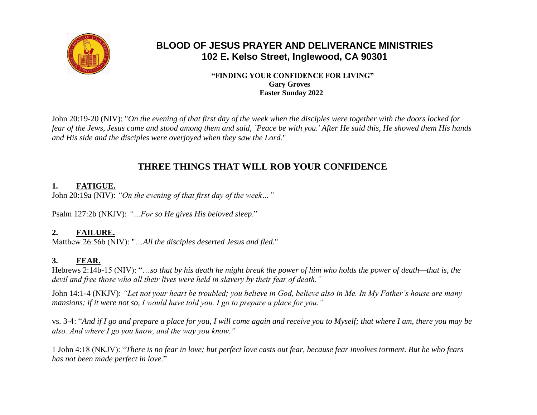

# **BLOOD OF JESUS PRAYER AND DELIVERANCE MINISTRIES 102 E. Kelso Street, Inglewood, CA 90301**

#### **"FINDING YOUR CONFIDENCE FOR LIVING" Gary Groves Easter Sunday 2022**

John 20:19-20 (NIV): "*On the evening of that first day of the week when the disciples were together with the doors locked for fear of the Jews, Jesus came and stood among them and said, `Peace be with you.' After He said this, He showed them His hands and His side and the disciples were overjoyed when they saw the Lord.*"

# **THREE THINGS THAT WILL ROB YOUR CONFIDENCE**

### **1. FATIGUE.**

John 20:19a (NIV): *"On the evening of that first day of the week…"*

Psalm 127:2b (NKJV): *"…For so He gives His beloved sleep*."

### **2. FAILURE.**

Matthew 26:56b (NIV): "…*All the disciples deserted Jesus and fled*."

## **3. FEAR.**

Hebrews 2:14b-15 (NIV): "…*so that by his death he might break the power of him who holds the power of death—that is, the devil and free those who all their lives were held in slavery by their fear of death."*

John 14:1-4 (NKJV): *"Let not your heart be troubled; you believe in God, believe also in Me. In My Father's house are many mansions; if it were not so, I would have told you. I go to prepare a place for you."*

vs. 3-4: "*And if I go and prepare a place for you, I will come again and receive you to Myself; that where I am, there you may be also. And where I go you know, and the way you know."*

1 John 4:18 (NKJV): "*There is no fear in love; but perfect love casts out fear, because fear involves torment. But he who fears has not been made perfect in love*."